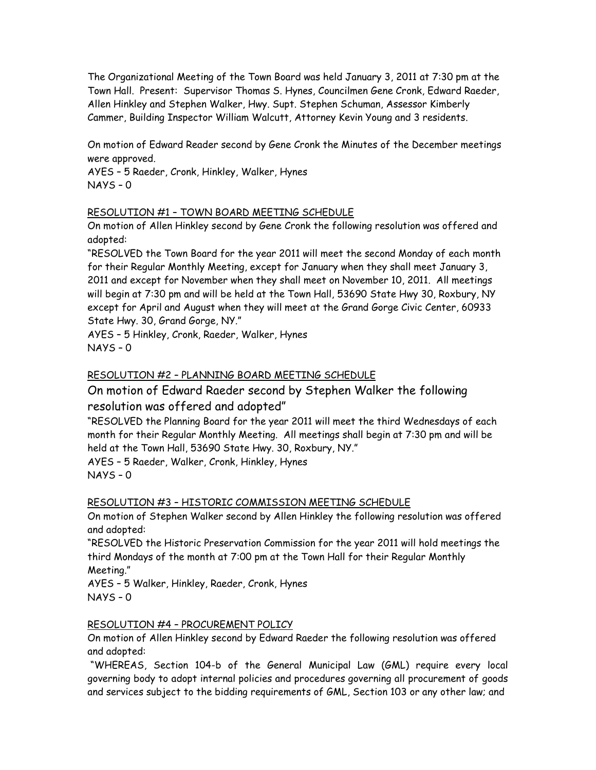The Organizational Meeting of the Town Board was held January 3, 2011 at 7:30 pm at the Town Hall. Present: Supervisor Thomas S. Hynes, Councilmen Gene Cronk, Edward Raeder, Allen Hinkley and Stephen Walker, Hwy. Supt. Stephen Schuman, Assessor Kimberly Cammer, Building Inspector William Walcutt, Attorney Kevin Young and 3 residents.

On motion of Edward Reader second by Gene Cronk the Minutes of the December meetings were approved.

AYES – 5 Raeder, Cronk, Hinkley, Walker, Hynes  $NAYS - 0$ 

# RESOLUTION #1 – TOWN BOARD MEETING SCHEDULE

On motion of Allen Hinkley second by Gene Cronk the following resolution was offered and adopted:

"RESOLVED the Town Board for the year 2011 will meet the second Monday of each month for their Regular Monthly Meeting, except for January when they shall meet January 3, 2011 and except for November when they shall meet on November 10, 2011. All meetings will begin at 7:30 pm and will be held at the Town Hall, 53690 State Hwy 30, Roxbury, NY except for April and August when they will meet at the Grand Gorge Civic Center, 60933 State Hwy. 30, Grand Gorge, NY."

AYES – 5 Hinkley, Cronk, Raeder, Walker, Hynes NAYS – 0

# RESOLUTION #2 – PLANNING BOARD MEETING SCHEDULE

# On motion of Edward Raeder second by Stephen Walker the following resolution was offered and adopted"

"RESOLVED the Planning Board for the year 2011 will meet the third Wednesdays of each month for their Regular Monthly Meeting. All meetings shall begin at 7:30 pm and will be held at the Town Hall, 53690 State Hwy. 30, Roxbury, NY."

AYES – 5 Raeder, Walker, Cronk, Hinkley, Hynes  $NAYS - 0$ 

### RESOLUTION #3 – HISTORIC COMMISSION MEETING SCHEDULE

On motion of Stephen Walker second by Allen Hinkley the following resolution was offered and adopted:

"RESOLVED the Historic Preservation Commission for the year 2011 will hold meetings the third Mondays of the month at 7:00 pm at the Town Hall for their Regular Monthly Meeting."

AYES – 5 Walker, Hinkley, Raeder, Cronk, Hynes NAYS – 0

### RESOLUTION #4 – PROCUREMENT POLICY

On motion of Allen Hinkley second by Edward Raeder the following resolution was offered and adopted:

"WHEREAS, Section 104-b of the General Municipal Law (GML) require every local governing body to adopt internal policies and procedures governing all procurement of goods and services subject to the bidding requirements of GML, Section 103 or any other law; and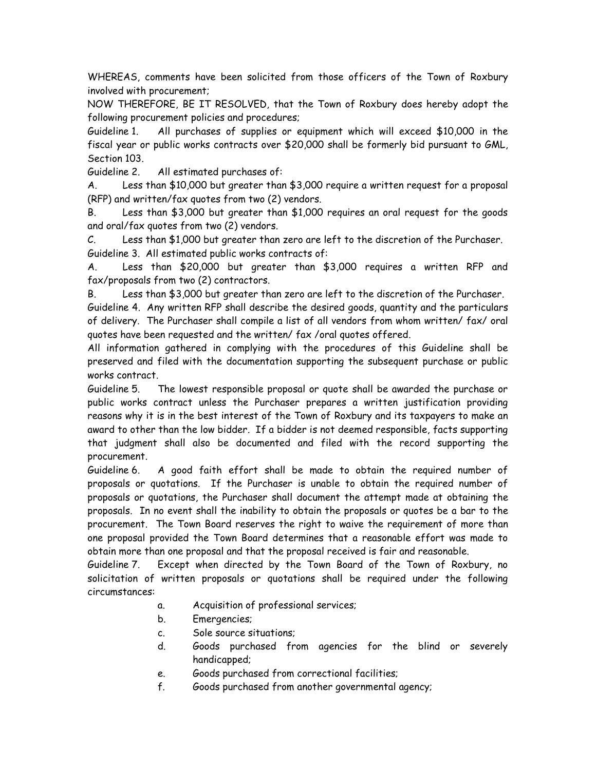WHEREAS, comments have been solicited from those officers of the Town of Roxbury involved with procurement;

NOW THEREFORE, BE IT RESOLVED, that the Town of Roxbury does hereby adopt the following procurement policies and procedures;

Guideline 1. All purchases of supplies or equipment which will exceed \$10,000 in the fiscal year or public works contracts over \$20,000 shall be formerly bid pursuant to GML, Section 103.

Guideline 2. All estimated purchases of:

A. Less than \$10,000 but greater than \$3,000 require a written request for a proposal (RFP) and written/fax quotes from two (2) vendors.

B. Less than \$3,000 but greater than \$1,000 requires an oral request for the goods and oral/fax quotes from two (2) vendors.

C. Less than \$1,000 but greater than zero are left to the discretion of the Purchaser. Guideline 3. All estimated public works contracts of:

A. Less than \$20,000 but greater than \$3,000 requires a written RFP and fax/proposals from two (2) contractors.

B. Less than \$3,000 but greater than zero are left to the discretion of the Purchaser. Guideline 4. Any written RFP shall describe the desired goods, quantity and the particulars of delivery. The Purchaser shall compile a list of all vendors from whom written/ fax/ oral quotes have been requested and the written/ fax /oral quotes offered.

All information gathered in complying with the procedures of this Guideline shall be preserved and filed with the documentation supporting the subsequent purchase or public works contract.

Guideline 5. The lowest responsible proposal or quote shall be awarded the purchase or public works contract unless the Purchaser prepares a written justification providing reasons why it is in the best interest of the Town of Roxbury and its taxpayers to make an award to other than the low bidder. If a bidder is not deemed responsible, facts supporting that judgment shall also be documented and filed with the record supporting the procurement.

Guideline 6. A good faith effort shall be made to obtain the required number of proposals or quotations. If the Purchaser is unable to obtain the required number of proposals or quotations, the Purchaser shall document the attempt made at obtaining the proposals. In no event shall the inability to obtain the proposals or quotes be a bar to the procurement. The Town Board reserves the right to waive the requirement of more than one proposal provided the Town Board determines that a reasonable effort was made to obtain more than one proposal and that the proposal received is fair and reasonable.

Guideline 7. Except when directed by the Town Board of the Town of Roxbury, no solicitation of written proposals or quotations shall be required under the following circumstances:

- a. Acquisition of professional services;
- b. Emergencies;
- c. Sole source situations;
- d. Goods purchased from agencies for the blind or severely handicapped;
- e. Goods purchased from correctional facilities;
- f. Goods purchased from another governmental agency;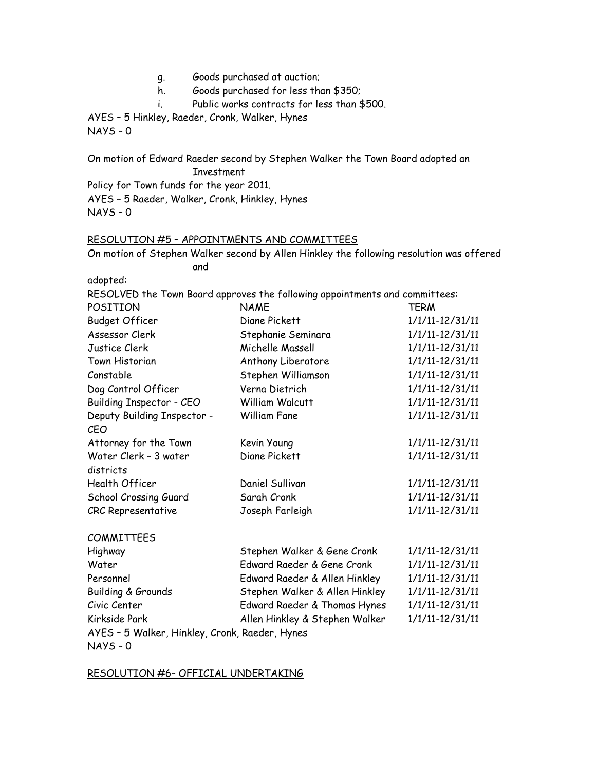- g. Goods purchased at auction;
- h. Goods purchased for less than \$350;
- i. Public works contracts for less than \$500.

AYES – 5 Hinkley, Raeder, Cronk, Walker, Hynes NAYS – 0

On motion of Edward Raeder second by Stephen Walker the Town Board adopted an Investment

Policy for Town funds for the year 2011. AYES – 5 Raeder, Walker, Cronk, Hinkley, Hynes NAYS – 0

#### RESOLUTION #5 – APPOINTMENTS AND COMMITTEES

On motion of Stephen Walker second by Allen Hinkley the following resolution was offered and

adopted:

|                                                | RESOLVED the Town Board approves the following appointments and committees: |                     |  |  |
|------------------------------------------------|-----------------------------------------------------------------------------|---------------------|--|--|
| POSITION                                       | <b>NAME</b>                                                                 | <b>TERM</b>         |  |  |
| <b>Budget Officer</b>                          | Diane Pickett                                                               | 1/1/11-12/31/11     |  |  |
| Assessor Clerk                                 | Stephanie Seminara                                                          | 1/1/11-12/31/11     |  |  |
| Justice Clerk                                  | Michelle Massell                                                            | $1/1/11 - 12/31/11$ |  |  |
| Town Historian                                 | Anthony Liberatore                                                          | 1/1/11-12/31/11     |  |  |
| Constable                                      | Stephen Williamson                                                          | $1/1/11 - 12/31/11$ |  |  |
| Dog Control Officer                            | Verna Dietrich                                                              | $1/1/11 - 12/31/11$ |  |  |
| <b>Building Inspector - CEO</b>                | William Walcutt                                                             | $1/1/11 - 12/31/11$ |  |  |
| Deputy Building Inspector -                    | <b>William Fane</b>                                                         | 1/1/11-12/31/11     |  |  |
| <b>CEO</b>                                     |                                                                             |                     |  |  |
| Attorney for the Town                          | Kevin Young                                                                 | $1/1/11 - 12/31/11$ |  |  |
| Water Clerk - 3 water                          | Diane Pickett                                                               | 1/1/11-12/31/11     |  |  |
| districts                                      |                                                                             |                     |  |  |
| Health Officer                                 | Daniel Sullivan                                                             | $1/1/11 - 12/31/11$ |  |  |
| School Crossing Guard                          | Sarah Cronk                                                                 | 1/1/11-12/31/11     |  |  |
| CRC Representative                             | Joseph Farleigh                                                             | 1/1/11-12/31/11     |  |  |
| <b>COMMITTEES</b>                              |                                                                             |                     |  |  |
| Highway                                        | Stephen Walker & Gene Cronk                                                 | $1/1/11 - 12/31/11$ |  |  |
| Water                                          | Edward Raeder & Gene Cronk                                                  | 1/1/11-12/31/11     |  |  |
| Personnel                                      | Edward Raeder & Allen Hinkley                                               | 1/1/11-12/31/11     |  |  |
| <b>Building &amp; Grounds</b>                  | Stephen Walker & Allen Hinkley                                              | 1/1/11-12/31/11     |  |  |
| Civic Center                                   | Edward Raeder & Thomas Hynes                                                | 1/1/11-12/31/11     |  |  |
| Kirkside Park                                  | Allen Hinkley & Stephen Walker<br>1/1/11-12/31/11                           |                     |  |  |
| AYES - 5 Walker, Hinkley, Cronk, Raeder, Hynes |                                                                             |                     |  |  |

NAYS – 0

RESOLUTION #6– OFFICIAL UNDERTAKING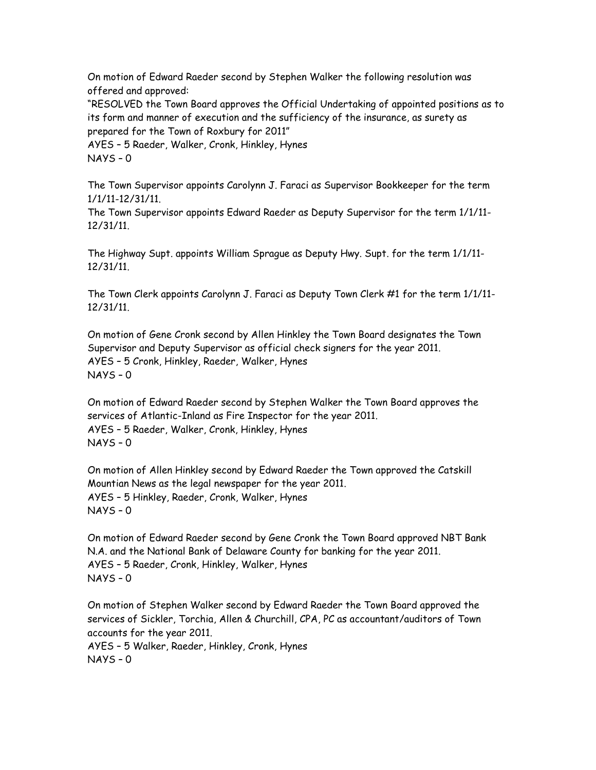On motion of Edward Raeder second by Stephen Walker the following resolution was offered and approved:

"RESOLVED the Town Board approves the Official Undertaking of appointed positions as to its form and manner of execution and the sufficiency of the insurance, as surety as prepared for the Town of Roxbury for 2011"

AYES – 5 Raeder, Walker, Cronk, Hinkley, Hynes NAYS – 0

The Town Supervisor appoints Carolynn J. Faraci as Supervisor Bookkeeper for the term 1/1/11-12/31/11.

The Town Supervisor appoints Edward Raeder as Deputy Supervisor for the term 1/1/11- 12/31/11.

The Highway Supt. appoints William Sprague as Deputy Hwy. Supt. for the term 1/1/11- 12/31/11.

The Town Clerk appoints Carolynn J. Faraci as Deputy Town Clerk #1 for the term 1/1/11- 12/31/11.

On motion of Gene Cronk second by Allen Hinkley the Town Board designates the Town Supervisor and Deputy Supervisor as official check signers for the year 2011. AYES – 5 Cronk, Hinkley, Raeder, Walker, Hynes NAYS – 0

On motion of Edward Raeder second by Stephen Walker the Town Board approves the services of Atlantic-Inland as Fire Inspector for the year 2011. AYES – 5 Raeder, Walker, Cronk, Hinkley, Hynes NAYS – 0

On motion of Allen Hinkley second by Edward Raeder the Town approved the Catskill Mountian News as the legal newspaper for the year 2011. AYES – 5 Hinkley, Raeder, Cronk, Walker, Hynes  $NAYS - 0$ 

On motion of Edward Raeder second by Gene Cronk the Town Board approved NBT Bank N.A. and the National Bank of Delaware County for banking for the year 2011. AYES – 5 Raeder, Cronk, Hinkley, Walker, Hynes  $NAYS - 0$ 

On motion of Stephen Walker second by Edward Raeder the Town Board approved the services of Sickler, Torchia, Allen & Churchill, CPA, PC as accountant/auditors of Town accounts for the year 2011.

AYES – 5 Walker, Raeder, Hinkley, Cronk, Hynes NAYS – 0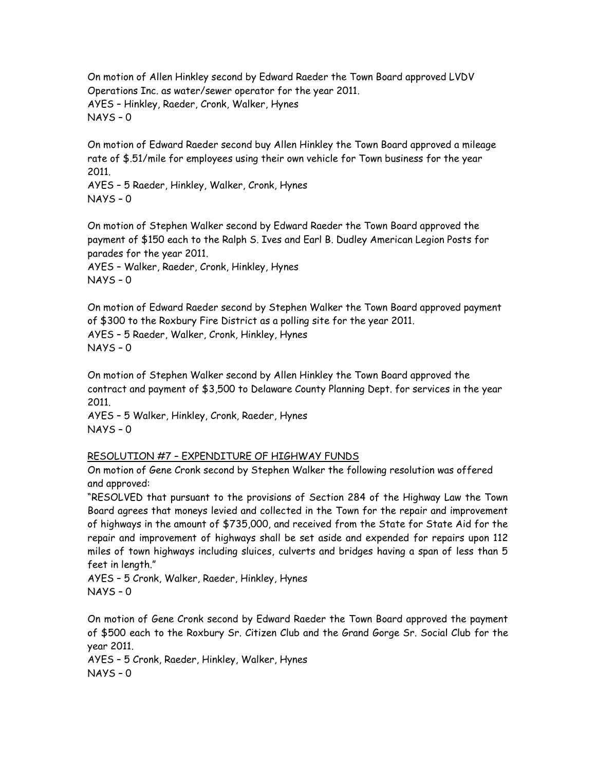On motion of Allen Hinkley second by Edward Raeder the Town Board approved LVDV Operations Inc. as water/sewer operator for the year 2011. AYES – Hinkley, Raeder, Cronk, Walker, Hynes NAYS – 0

On motion of Edward Raeder second buy Allen Hinkley the Town Board approved a mileage rate of \$.51/mile for employees using their own vehicle for Town business for the year 2011.

AYES – 5 Raeder, Hinkley, Walker, Cronk, Hynes NAYS – 0

On motion of Stephen Walker second by Edward Raeder the Town Board approved the payment of \$150 each to the Ralph S. Ives and Earl B. Dudley American Legion Posts for parades for the year 2011. AYES – Walker, Raeder, Cronk, Hinkley, Hynes

 $NAYS - 0$ 

On motion of Edward Raeder second by Stephen Walker the Town Board approved payment of \$300 to the Roxbury Fire District as a polling site for the year 2011. AYES – 5 Raeder, Walker, Cronk, Hinkley, Hynes NAYS – 0

On motion of Stephen Walker second by Allen Hinkley the Town Board approved the contract and payment of \$3,500 to Delaware County Planning Dept. for services in the year 2011.

AYES – 5 Walker, Hinkley, Cronk, Raeder, Hynes NAYS – 0

### RESOLUTION #7 – EXPENDITURE OF HIGHWAY FUNDS

On motion of Gene Cronk second by Stephen Walker the following resolution was offered and approved:

"RESOLVED that pursuant to the provisions of Section 284 of the Highway Law the Town Board agrees that moneys levied and collected in the Town for the repair and improvement of highways in the amount of \$735,000, and received from the State for State Aid for the repair and improvement of highways shall be set aside and expended for repairs upon 112 miles of town highways including sluices, culverts and bridges having a span of less than 5 feet in length."

AYES – 5 Cronk, Walker, Raeder, Hinkley, Hynes NAYS – 0

On motion of Gene Cronk second by Edward Raeder the Town Board approved the payment of \$500 each to the Roxbury Sr. Citizen Club and the Grand Gorge Sr. Social Club for the year 2011.

AYES – 5 Cronk, Raeder, Hinkley, Walker, Hynes  $NAYS - 0$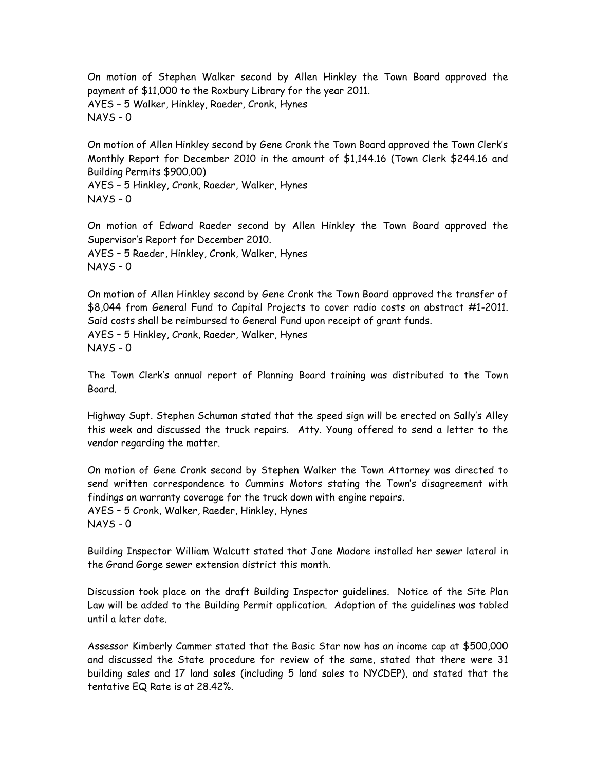On motion of Stephen Walker second by Allen Hinkley the Town Board approved the payment of \$11,000 to the Roxbury Library for the year 2011. AYES – 5 Walker, Hinkley, Raeder, Cronk, Hynes NAYS – 0

On motion of Allen Hinkley second by Gene Cronk the Town Board approved the Town Clerk's Monthly Report for December 2010 in the amount of \$1,144.16 (Town Clerk \$244.16 and Building Permits \$900.00)

AYES – 5 Hinkley, Cronk, Raeder, Walker, Hynes NAYS – 0

On motion of Edward Raeder second by Allen Hinkley the Town Board approved the Supervisor's Report for December 2010. AYES – 5 Raeder, Hinkley, Cronk, Walker, Hynes NAYS – 0

On motion of Allen Hinkley second by Gene Cronk the Town Board approved the transfer of \$8,044 from General Fund to Capital Projects to cover radio costs on abstract #1-2011. Said costs shall be reimbursed to General Fund upon receipt of grant funds. AYES – 5 Hinkley, Cronk, Raeder, Walker, Hynes NAYS – 0

The Town Clerk's annual report of Planning Board training was distributed to the Town Board.

Highway Supt. Stephen Schuman stated that the speed sign will be erected on Sally's Alley this week and discussed the truck repairs. Atty. Young offered to send a letter to the vendor regarding the matter.

On motion of Gene Cronk second by Stephen Walker the Town Attorney was directed to send written correspondence to Cummins Motors stating the Town's disagreement with findings on warranty coverage for the truck down with engine repairs. AYES – 5 Cronk, Walker, Raeder, Hinkley, Hynes NAYS - 0

Building Inspector William Walcutt stated that Jane Madore installed her sewer lateral in the Grand Gorge sewer extension district this month.

Discussion took place on the draft Building Inspector guidelines. Notice of the Site Plan Law will be added to the Building Permit application. Adoption of the guidelines was tabled until a later date.

Assessor Kimberly Cammer stated that the Basic Star now has an income cap at \$500,000 and discussed the State procedure for review of the same, stated that there were 31 building sales and 17 land sales (including 5 land sales to NYCDEP), and stated that the tentative EQ Rate is at 28.42%.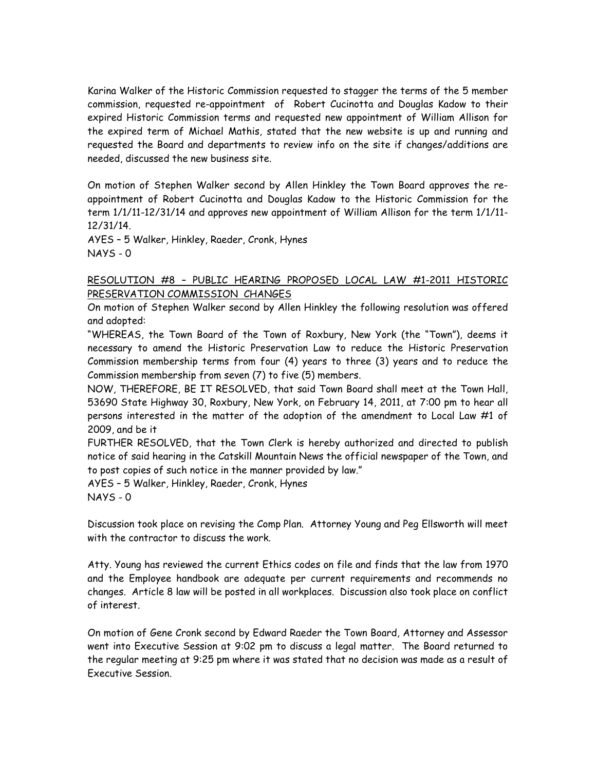Karina Walker of the Historic Commission requested to stagger the terms of the 5 member commission, requested re-appointment of Robert Cucinotta and Douglas Kadow to their expired Historic Commission terms and requested new appointment of William Allison for the expired term of Michael Mathis, stated that the new website is up and running and requested the Board and departments to review info on the site if changes/additions are needed, discussed the new business site.

On motion of Stephen Walker second by Allen Hinkley the Town Board approves the reappointment of Robert Cucinotta and Douglas Kadow to the Historic Commission for the term 1/1/11-12/31/14 and approves new appointment of William Allison for the term 1/1/11- 12/31/14.

AYES – 5 Walker, Hinkley, Raeder, Cronk, Hynes NAYS - 0

#### RESOLUTION #8 – PUBLIC HEARING PROPOSED LOCAL LAW #1-2011 HISTORIC PRESERVATION COMMISSION CHANGES

On motion of Stephen Walker second by Allen Hinkley the following resolution was offered and adopted:

"WHEREAS, the Town Board of the Town of Roxbury, New York (the "Town"), deems it necessary to amend the Historic Preservation Law to reduce the Historic Preservation Commission membership terms from four (4) years to three (3) years and to reduce the Commission membership from seven (7) to five (5) members.

NOW, THEREFORE, BE IT RESOLVED, that said Town Board shall meet at the Town Hall, 53690 State Highway 30, Roxbury, New York, on February 14, 2011, at 7:00 pm to hear all persons interested in the matter of the adoption of the amendment to Local Law #1 of 2009, and be it

FURTHER RESOLVED, that the Town Clerk is hereby authorized and directed to publish notice of said hearing in the Catskill Mountain News the official newspaper of the Town, and to post copies of such notice in the manner provided by law."

AYES – 5 Walker, Hinkley, Raeder, Cronk, Hynes NAYS - 0

Discussion took place on revising the Comp Plan. Attorney Young and Peg Ellsworth will meet with the contractor to discuss the work.

Atty. Young has reviewed the current Ethics codes on file and finds that the law from 1970 and the Employee handbook are adequate per current requirements and recommends no changes. Article 8 law will be posted in all workplaces. Discussion also took place on conflict of interest.

On motion of Gene Cronk second by Edward Raeder the Town Board, Attorney and Assessor went into Executive Session at 9:02 pm to discuss a legal matter. The Board returned to the regular meeting at 9:25 pm where it was stated that no decision was made as a result of Executive Session.